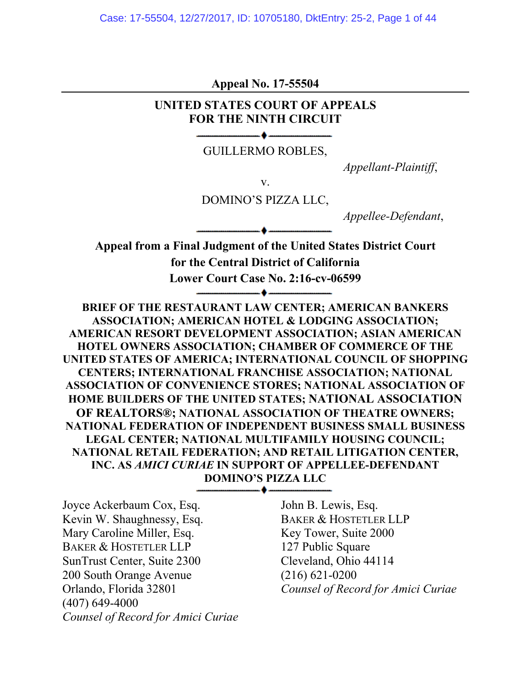**Appeal No. 17-55504**

### **UNITED STATES COURT OF APPEALS FOR THE NINTH CIRCUIT**

#### GUILLERMO ROBLES,

*Appellant-Plaintiff*,

v.

DOMINO'S PIZZA LLC,

*Appellee-Defendant*,

**Appeal from a Final Judgment of the United States District Court for the Central District of California Lower Court Case No. 2:16-cv-06599** -▲…

**BRIEF OF THE RESTAURANT LAW CENTER; AMERICAN BANKERS ASSOCIATION; AMERICAN HOTEL & LODGING ASSOCIATION; AMERICAN RESORT DEVELOPMENT ASSOCIATION; ASIAN AMERICAN HOTEL OWNERS ASSOCIATION; CHAMBER OF COMMERCE OF THE UNITED STATES OF AMERICA; INTERNATIONAL COUNCIL OF SHOPPING CENTERS; INTERNATIONAL FRANCHISE ASSOCIATION; NATIONAL ASSOCIATION OF CONVENIENCE STORES; NATIONAL ASSOCIATION OF HOME BUILDERS OF THE UNITED STATES; NATIONAL ASSOCIATION OF REALTORS®; NATIONAL ASSOCIATION OF THEATRE OWNERS; NATIONAL FEDERATION OF INDEPENDENT BUSINESS SMALL BUSINESS LEGAL CENTER; NATIONAL MULTIFAMILY HOUSING COUNCIL; NATIONAL RETAIL FEDERATION; AND RETAIL LITIGATION CENTER, INC. AS** *AMICI CURIAE* **IN SUPPORT OF APPELLEE-DEFENDANT DOMINO'S PIZZA LLC**

▲-----

Joyce Ackerbaum Cox, Esq. John B. Lewis, Esq. Kevin W. Shaughnessy, Esq. BAKER & HOSTETLER LLP Mary Caroline Miller, Esq. Key Tower, Suite 2000 BAKER & HOSTETLER LLP 127 Public Square SunTrust Center, Suite 2300 Cleveland, Ohio 44114 200 South Orange Avenue (216) 621-0200 (407) 649-4000 *Counsel of Record for Amici Curiae* 

Orlando, Florida 32801 *Counsel of Record for Amici Curiae*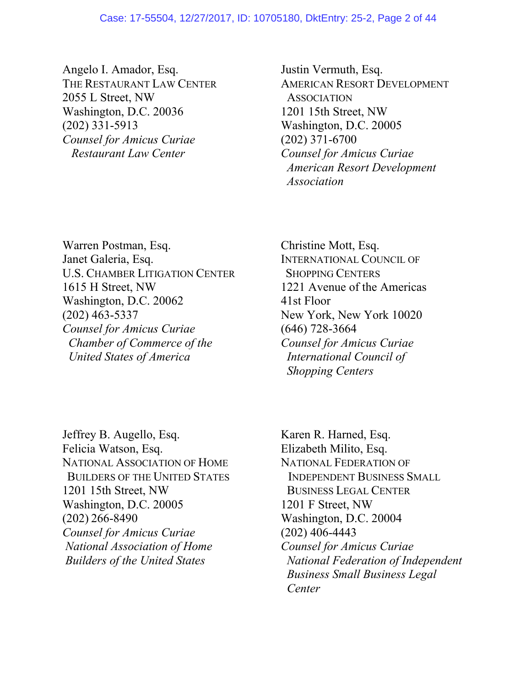#### Case: 17-55504, 12/27/2017, ID: 10705180, DktEntry: 25-2, Page 2 of 44

Angelo I. Amador, Esq. Justin Vermuth, Esq. 2055 L Street, NW ASSOCIATION Washington, D.C. 20036 1201 15th Street, NW (202) 331-5913 Washington, D.C. 20005 *Counsel for Amicus Curiae* (202) 371-6700  *Restaurant Law Center Counsel for Amicus Curiae*

THE RESTAURANT LAW CENTER AMERICAN RESORT DEVELOPMENT  *American Resort Development Association*

Warren Postman, Esq. Christine Mott, Esq. Janet Galeria, Esq. **INTERNATIONAL COUNCIL OF** U.S. CHAMBER LITIGATION CENTER SHOPPING CENTERS 1615 H Street, NW 1221 Avenue of the Americas Washington, D.C. 20062 41st Floor (202) 463-5337 New York, New York 10020 *Counsel for Amicus Curiae* (646) 728-3664  *Chamber of Commerce of the Counsel for Amicus Curiae United States of America International Council of* 

 *Shopping Centers*

Jeffrey B. Augello, Esq. Karen R. Harned, Esq. Felicia Watson, Esq. Elizabeth Milito, Esq. NATIONAL ASSOCIATION OF HOME NATIONAL FEDERATION OF BUILDERS OF THE UNITED STATES INDEPENDENT BUSINESS SMALL 1201 15th Street, NW BUSINESS LEGAL CENTER Washington, D.C. 20005 1201 F Street, NW (202) 266-8490 Washington, D.C. 20004 *Counsel for Amicus Curiae* (202) 406-4443 *National Association of Home Counsel for Amicus Curiae* 

*Builders of the United States* National Federation of Independent  *Business Small Business Legal Center*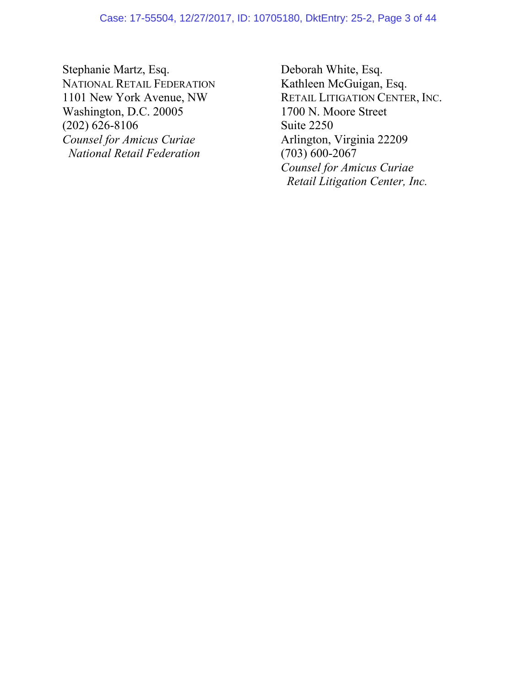Stephanie Martz, Esq. Deborah White, Esq. NATIONAL RETAIL FEDERATION<br>
1101 New York Avenue, NW RETAIL LITIGATION CENTE Washington, D.C. 20005 1700 N. Moore 3250 1700 N. Moore Street Street Street Street Street Street Street Street Street Street Street Street Street Street Street Street Street Street Street Street Street Street Street Stree  $(202)$  626-8106 *Counsel for Amicus Curiae* Arlington, Virginia 22209  *National Retail Federation* (703) 600-2067

RETAIL LITIGATION CENTER, INC.<br>1700 N. Moore Street *Counsel for Amicus Curiae Retail Litigation Center, Inc.*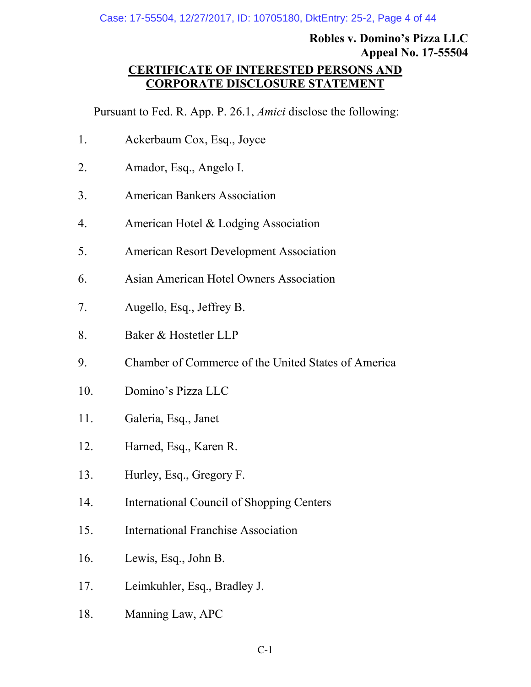# <span id="page-3-0"></span>**Robles v. Domino's Pizza LLC Appeal No. 17-55504**

### **CERTIFICATE OF INTERESTED PERSONS AND CORPORATE DISCLOSURE STATEMENT**

Pursuant to Fed. R. App. P. 26.1, *Amici* disclose the following:

- 1. Ackerbaum Cox, Esq., Joyce
- 2. Amador, Esq., Angelo I.
- 3. American Bankers Association
- 4. American Hotel & Lodging Association
- 5. American Resort Development Association
- 6. Asian American Hotel Owners Association
- 7. Augello, Esq., Jeffrey B.
- 8. Baker & Hostetler LLP
- 9. Chamber of Commerce of the United States of America
- 10. Domino's Pizza LLC
- 11. Galeria, Esq., Janet
- 12. Harned, Esq., Karen R.
- 13. Hurley, Esq., Gregory F.
- 14. International Council of Shopping Centers
- 15. International Franchise Association
- 16. Lewis, Esq., John B.
- 17. Leimkuhler, Esq., Bradley J.
- 18. Manning Law, APC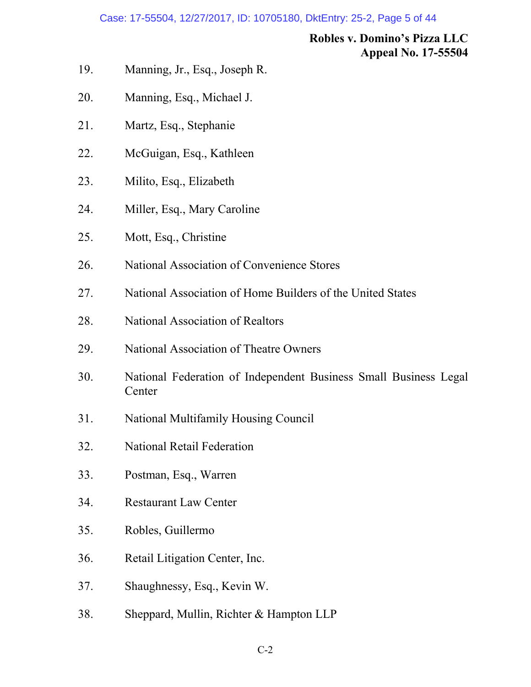#### Case: 17-55504, 12/27/2017, ID: 10705180, DktEntry: 25-2, Page 5 of 44

### **Robles v. Domino's Pizza LLC Appeal No. 17-55504**

- 19. Manning, Jr., Esq., Joseph R.
- 20. Manning, Esq., Michael J.
- 21. Martz, Esq., Stephanie
- 22. McGuigan, Esq., Kathleen
- 23. Milito, Esq., Elizabeth
- 24. Miller, Esq., Mary Caroline
- 25. Mott, Esq., Christine
- 26. National Association of Convenience Stores
- 27. National Association of Home Builders of the United States
- 28. National Association of Realtors
- 29. National Association of Theatre Owners
- 30. National Federation of Independent Business Small Business Legal Center
- 31. National Multifamily Housing Council
- 32. National Retail Federation
- 33. Postman, Esq., Warren
- 34. Restaurant Law Center
- 35. Robles, Guillermo
- 36. Retail Litigation Center, Inc.
- 37. Shaughnessy, Esq., Kevin W.
- 38. Sheppard, Mullin, Richter & Hampton LLP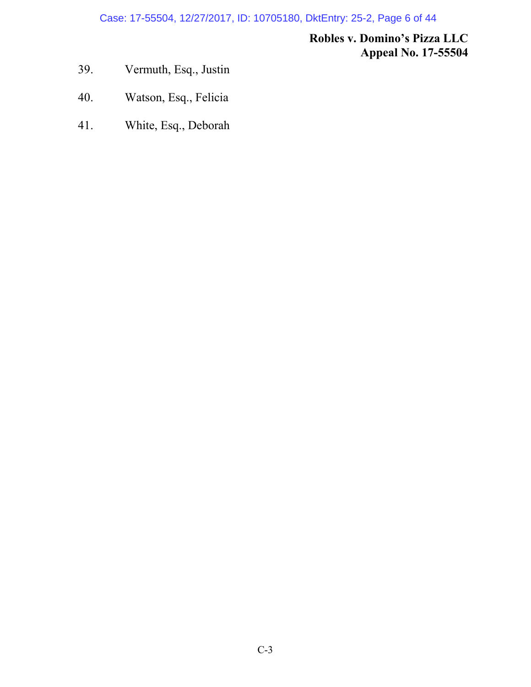Case: 17-55504, 12/27/2017, ID: 10705180, DktEntry: 25-2, Page 6 of 44

## **Robles v. Domino's Pizza LLC Appeal No. 17-55504**

- 39. Vermuth, Esq., Justin
- 40. Watson, Esq., Felicia
- 41. White, Esq., Deborah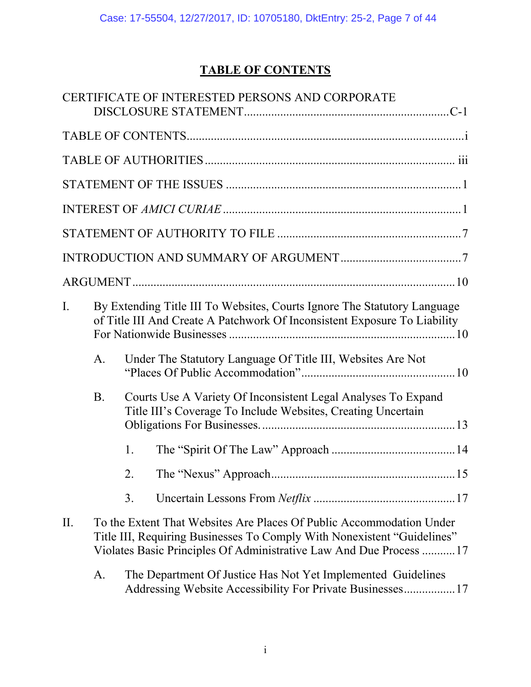# <span id="page-6-0"></span>**TABLE OF CONTENTS**

|     |           | CERTIFICATE OF INTERESTED PERSONS AND CORPORATE                                                                                                                                                                        |
|-----|-----------|------------------------------------------------------------------------------------------------------------------------------------------------------------------------------------------------------------------------|
|     |           |                                                                                                                                                                                                                        |
|     |           |                                                                                                                                                                                                                        |
|     |           |                                                                                                                                                                                                                        |
|     |           |                                                                                                                                                                                                                        |
|     |           |                                                                                                                                                                                                                        |
|     |           |                                                                                                                                                                                                                        |
|     |           |                                                                                                                                                                                                                        |
| I.  |           | By Extending Title III To Websites, Courts Ignore The Statutory Language<br>of Title III And Create A Patchwork Of Inconsistent Exposure To Liability                                                                  |
|     | A.        | Under The Statutory Language Of Title III, Websites Are Not                                                                                                                                                            |
|     | <b>B.</b> | Courts Use A Variety Of Inconsistent Legal Analyses To Expand<br>Title III's Coverage To Include Websites, Creating Uncertain                                                                                          |
|     |           | 1.                                                                                                                                                                                                                     |
|     |           | 2.                                                                                                                                                                                                                     |
|     |           | 3.                                                                                                                                                                                                                     |
| II. |           | To the Extent That Websites Are Places Of Public Accommodation Under<br>Title III, Requiring Businesses To Comply With Nonexistent "Guidelines"<br>Violates Basic Principles Of Administrative Law And Due Process  17 |
|     | A.        | The Department Of Justice Has Not Yet Implemented Guidelines<br>Addressing Website Accessibility For Private Businesses17                                                                                              |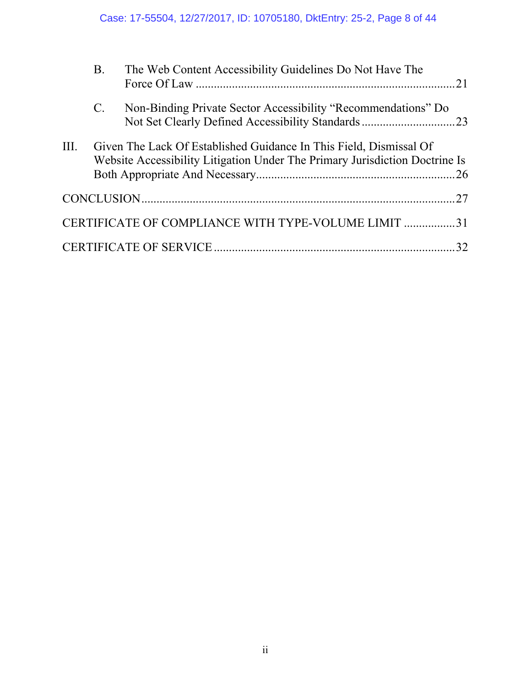|      | <b>B.</b>   | The Web Content Accessibility Guidelines Do Not Have The                                                                                          | 21 |
|------|-------------|---------------------------------------------------------------------------------------------------------------------------------------------------|----|
|      | $C_{\cdot}$ | Non-Binding Private Sector Accessibility "Recommendations" Do<br>Not Set Clearly Defined Accessibility Standards23                                |    |
| III. |             | Given The Lack Of Established Guidance In This Field, Dismissal Of<br>Website Accessibility Litigation Under The Primary Jurisdiction Doctrine Is |    |
|      |             |                                                                                                                                                   |    |
|      |             | CERTIFICATE OF COMPLIANCE WITH TYPE-VOLUME LIMIT 31                                                                                               |    |
|      |             |                                                                                                                                                   | 32 |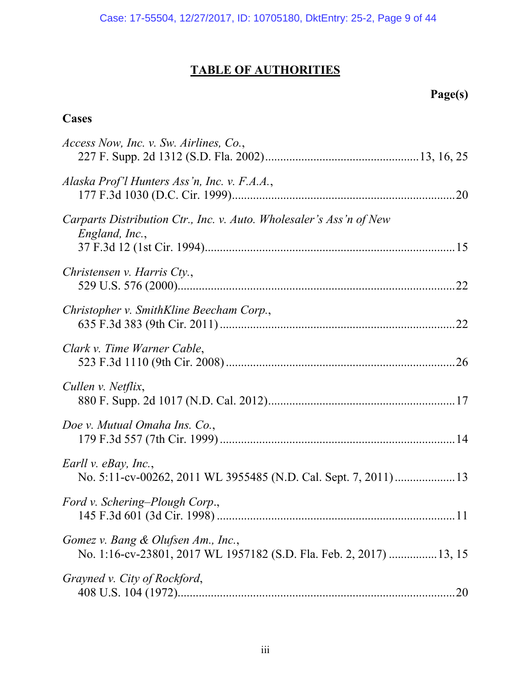# **TABLE OF AUTHORITIES**

# **Page(s)**

# **Cases**

| Access Now, Inc. v. Sw. Airlines, Co.,                                                                   |
|----------------------------------------------------------------------------------------------------------|
| Alaska Prof'l Hunters Ass'n, Inc. v. F.A.A.,                                                             |
| Carparts Distribution Ctr., Inc. v. Auto. Wholesaler's Ass'n of New<br>England, Inc.,                    |
| Christensen v. Harris Cty.,                                                                              |
| Christopher v. SmithKline Beecham Corp.,                                                                 |
| Clark v. Time Warner Cable,                                                                              |
| Cullen v. Netflix,                                                                                       |
| Doe v. Mutual Omaha Ins. Co.,                                                                            |
| Earll v. eBay, Inc.,<br>No. 5:11-cv-00262, 2011 WL 3955485 (N.D. Cal. Sept. 7, 2011)13                   |
| Ford v. Schering-Plough Corp.,                                                                           |
| Gomez v. Bang & Olufsen Am., Inc.,<br>No. 1:16-cv-23801, 2017 WL 1957182 (S.D. Fla. Feb. 2, 2017) 13, 15 |
| Grayned v. City of Rockford,                                                                             |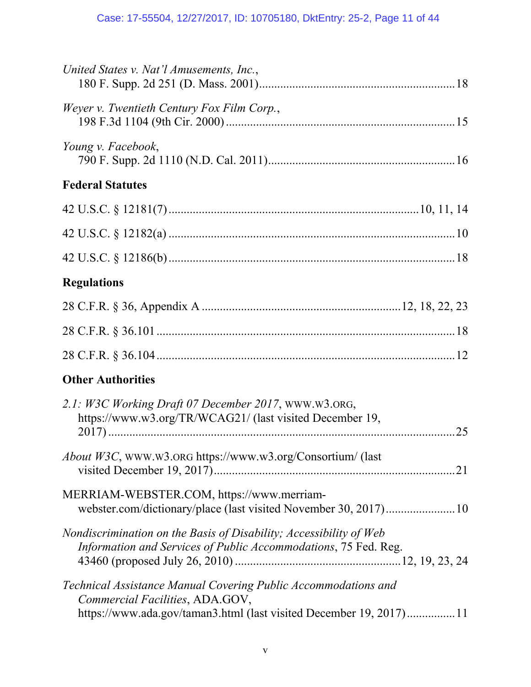| United States v. Nat'l Amusements, Inc.,                                                                                                                                |
|-------------------------------------------------------------------------------------------------------------------------------------------------------------------------|
| Weyer v. Twentieth Century Fox Film Corp.,                                                                                                                              |
| Young v. Facebook,                                                                                                                                                      |
| <b>Federal Statutes</b>                                                                                                                                                 |
|                                                                                                                                                                         |
|                                                                                                                                                                         |
|                                                                                                                                                                         |
| <b>Regulations</b>                                                                                                                                                      |
|                                                                                                                                                                         |
|                                                                                                                                                                         |
|                                                                                                                                                                         |
| <b>Other Authorities</b>                                                                                                                                                |
| 2.1: W3C Working Draft 07 December 2017, WWW.W3.ORG,<br>https://www.w3.org/TR/WCAG21/ (last visited December 19,<br>25                                                  |
| About W3C, WWW.W3.ORG https://www.w3.org/Consortium/ (last                                                                                                              |
| MERRIAM-WEBSTER.COM, https://www.merriam-<br>webster.com/dictionary/place (last visited November 30, 2017)10                                                            |
| Nondiscrimination on the Basis of Disability; Accessibility of Web<br>Information and Services of Public Accommodations, 75 Fed. Reg.                                   |
| Technical Assistance Manual Covering Public Accommodations and<br>Commercial Facilities, ADA.GOV,<br>https://www.ada.gov/taman3.html (last visited December 19, 2017)11 |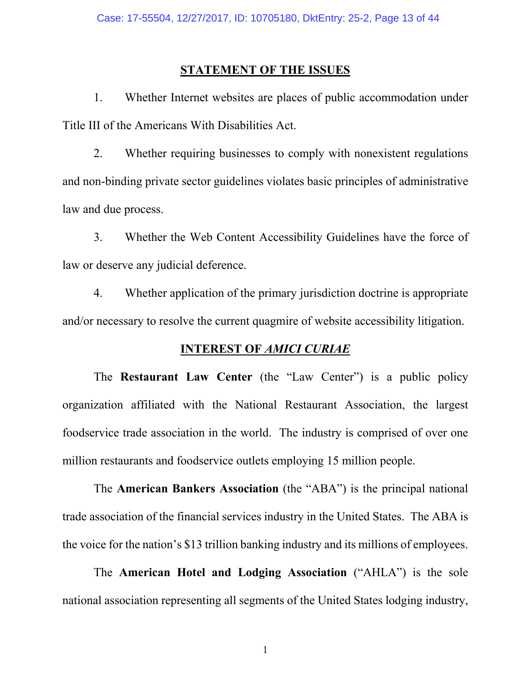#### <span id="page-12-0"></span>**STATEMENT OF THE ISSUES**

1. Whether Internet websites are places of public accommodation under Title III of the Americans With Disabilities Act.

2. Whether requiring businesses to comply with nonexistent regulations and non-binding private sector guidelines violates basic principles of administrative law and due process.

3. Whether the Web Content Accessibility Guidelines have the force of law or deserve any judicial deference.

4. Whether application of the primary jurisdiction doctrine is appropriate and/or necessary to resolve the current quagmire of website accessibility litigation.

### <span id="page-12-1"></span>**INTEREST OF** *AMICI CURIAE*

The **Restaurant Law Center** (the "Law Center") is a public policy organization affiliated with the National Restaurant Association, the largest foodservice trade association in the world. The industry is comprised of over one million restaurants and foodservice outlets employing 15 million people.

The **American Bankers Association** (the "ABA") is the principal national trade association of the financial services industry in the United States. The ABA is the voice for the nation's \$13 trillion banking industry and its millions of employees.

The **American Hotel and Lodging Association** ("AHLA") is the sole national association representing all segments of the United States lodging industry,

1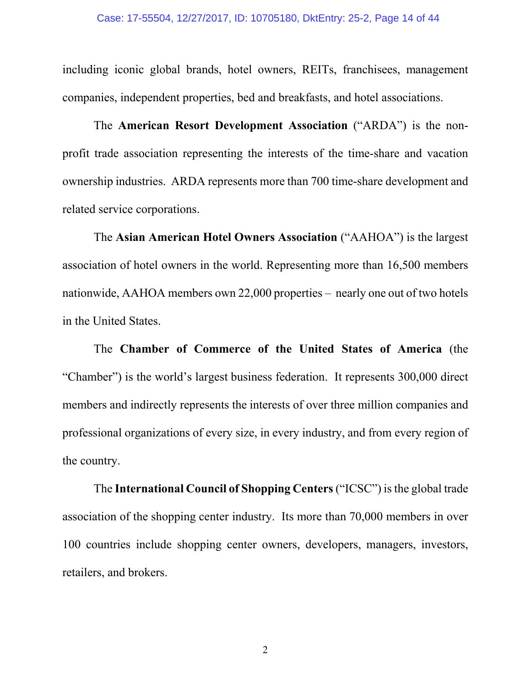including iconic global brands, hotel owners, REITs, franchisees, management companies, independent properties, bed and breakfasts, and hotel associations.

The **American Resort Development Association** ("ARDA") is the nonprofit trade association representing the interests of the time-share and vacation ownership industries. ARDA represents more than 700 time-share development and related service corporations.

The **Asian American Hotel Owners Association** ("AAHOA") is the largest association of hotel owners in the world. Representing more than 16,500 members nationwide, AAHOA members own 22,000 properties – nearly one out of two hotels in the United States.

The **Chamber of Commerce of the United States of America** (the "Chamber") is the world's largest business federation. It represents 300,000 direct members and indirectly represents the interests of over three million companies and professional organizations of every size, in every industry, and from every region of the country.

The **International Council of Shopping Centers**("ICSC") is the global trade association of the shopping center industry. Its more than 70,000 members in over 100 countries include shopping center owners, developers, managers, investors, retailers, and brokers.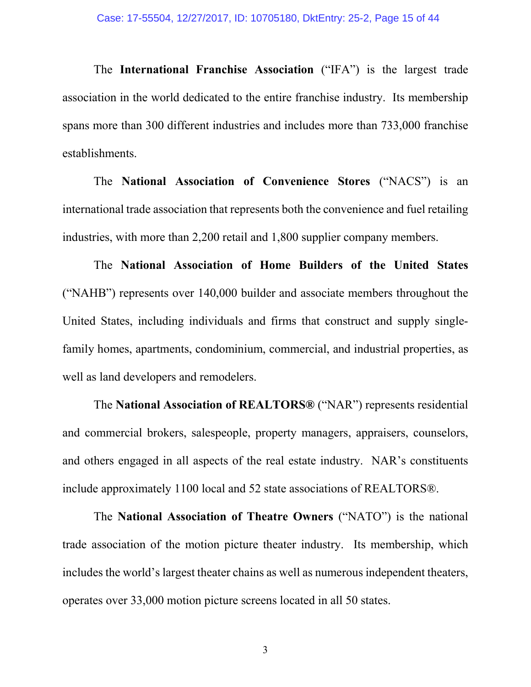The **International Franchise Association** ("IFA") is the largest trade association in the world dedicated to the entire franchise industry. Its membership spans more than 300 different industries and includes more than 733,000 franchise establishments.

The **National Association of Convenience Stores** ("NACS") is an international trade association that represents both the convenience and fuel retailing industries, with more than 2,200 retail and 1,800 supplier company members.

The **National Association of Home Builders of the United States** ("NAHB") represents over 140,000 builder and associate members throughout the United States, including individuals and firms that construct and supply singlefamily homes, apartments, condominium, commercial, and industrial properties, as well as land developers and remodelers.

The **National Association of REALTORS®** ("NAR") represents residential and commercial brokers, salespeople, property managers, appraisers, counselors, and others engaged in all aspects of the real estate industry. NAR's constituents include approximately 1100 local and 52 state associations of REALTORS®.

The **National Association of Theatre Owners** ("NATO") is the national trade association of the motion picture theater industry. Its membership, which includes the world's largest theater chains as well as numerous independent theaters, operates over 33,000 motion picture screens located in all 50 states.

3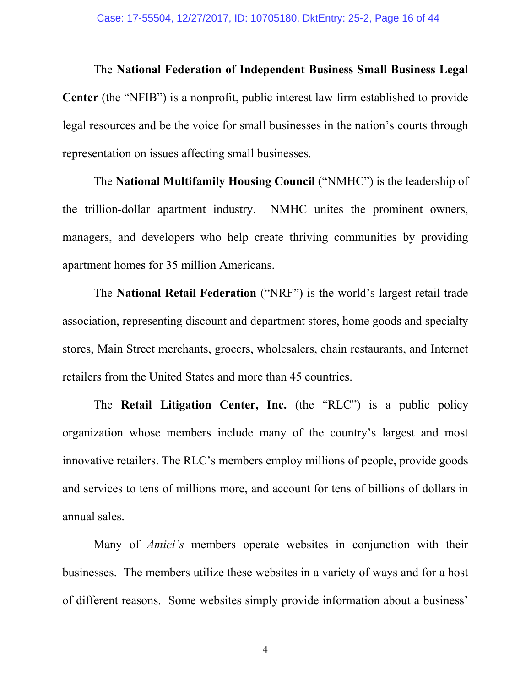The **National Federation of Independent Business Small Business Legal Center** (the "NFIB") is a nonprofit, public interest law firm established to provide legal resources and be the voice for small businesses in the nation's courts through representation on issues affecting small businesses.

The **National Multifamily Housing Council** ("NMHC") is the leadership of the trillion-dollar apartment industry. NMHC unites the prominent owners, managers, and developers who help create thriving communities by providing apartment homes for 35 million Americans.

The **National Retail Federation** ("NRF") is the world's largest retail trade association, representing discount and department stores, home goods and specialty stores, Main Street merchants, grocers, wholesalers, chain restaurants, and Internet retailers from the United States and more than 45 countries.

The **Retail Litigation Center, Inc.** (the "RLC") is a public policy organization whose members include many of the country's largest and most innovative retailers. The RLC's members employ millions of people, provide goods and services to tens of millions more, and account for tens of billions of dollars in annual sales.

Many of *Amici's* members operate websites in conjunction with their businesses. The members utilize these websites in a variety of ways and for a host of different reasons. Some websites simply provide information about a business'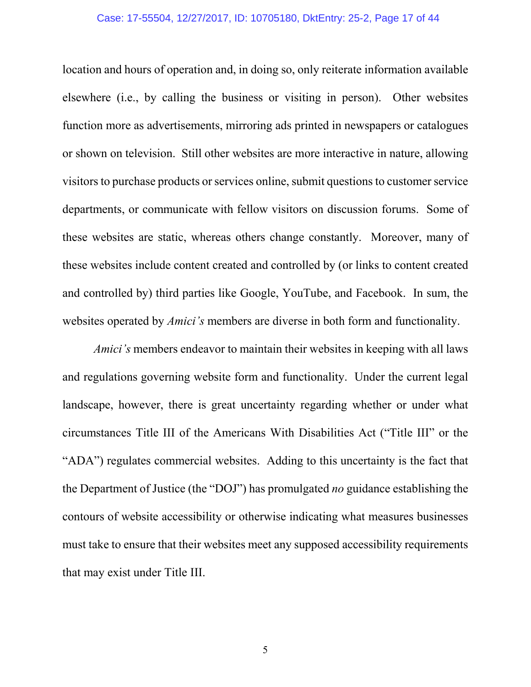#### Case: 17-55504, 12/27/2017, ID: 10705180, DktEntry: 25-2, Page 17 of 44

location and hours of operation and, in doing so, only reiterate information available elsewhere (i.e., by calling the business or visiting in person). Other websites function more as advertisements, mirroring ads printed in newspapers or catalogues or shown on television. Still other websites are more interactive in nature, allowing visitors to purchase products or services online, submit questions to customer service departments, or communicate with fellow visitors on discussion forums. Some of these websites are static, whereas others change constantly. Moreover, many of these websites include content created and controlled by (or links to content created and controlled by) third parties like Google, YouTube, and Facebook. In sum, the websites operated by *Amici's* members are diverse in both form and functionality.

*Amici's* members endeavor to maintain their websites in keeping with all laws and regulations governing website form and functionality. Under the current legal landscape, however, there is great uncertainty regarding whether or under what circumstances Title III of the Americans With Disabilities Act ("Title III" or the "ADA") regulates commercial websites. Adding to this uncertainty is the fact that the Department of Justice (the "DOJ") has promulgated *no* guidance establishing the contours of website accessibility or otherwise indicating what measures businesses must take to ensure that their websites meet any supposed accessibility requirements that may exist under Title III.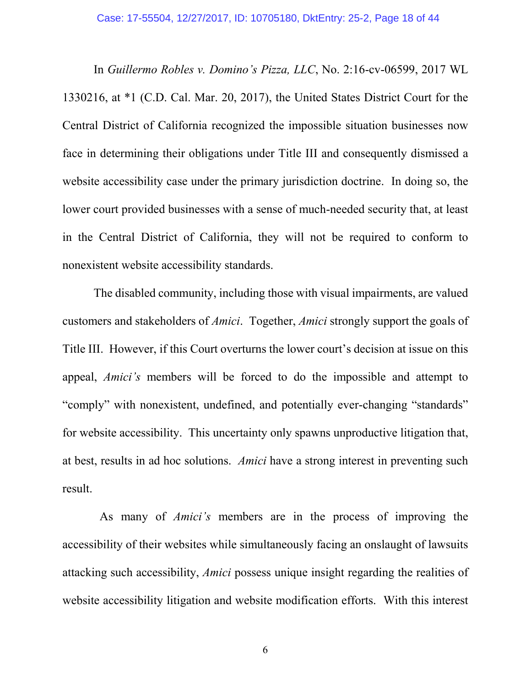<span id="page-17-0"></span>In *Guillermo Robles v. Domino's Pizza, LLC*, No. 2:16-cv-06599, 2017 WL 1330216, at \*1 (C.D. Cal. Mar. 20, 2017), the United States District Court for the Central District of California recognized the impossible situation businesses now face in determining their obligations under Title III and consequently dismissed a website accessibility case under the primary jurisdiction doctrine. In doing so, the lower court provided businesses with a sense of much-needed security that, at least in the Central District of California, they will not be required to conform to nonexistent website accessibility standards.

The disabled community, including those with visual impairments, are valued customers and stakeholders of *Amici*. Together, *Amici* strongly support the goals of Title III. However, if this Court overturns the lower court's decision at issue on this appeal, *Amici's* members will be forced to do the impossible and attempt to "comply" with nonexistent, undefined, and potentially ever-changing "standards" for website accessibility. This uncertainty only spawns unproductive litigation that, at best, results in ad hoc solutions. *Amici* have a strong interest in preventing such result.

 As many of *Amici's* members are in the process of improving the accessibility of their websites while simultaneously facing an onslaught of lawsuits attacking such accessibility, *Amici* possess unique insight regarding the realities of website accessibility litigation and website modification efforts. With this interest

6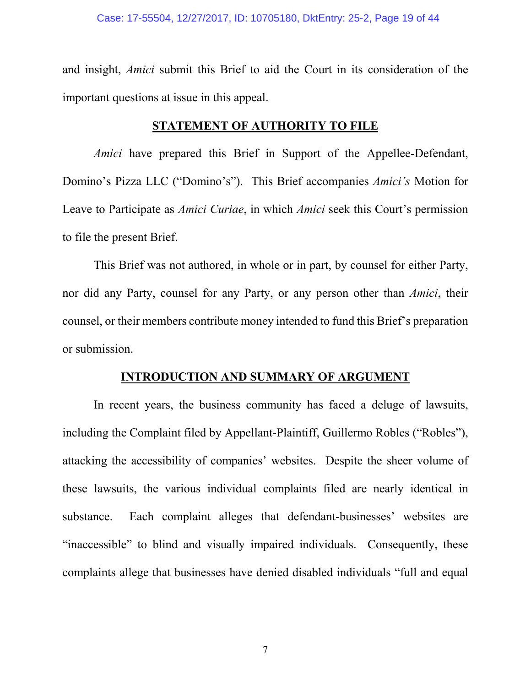and insight, *Amici* submit this Brief to aid the Court in its consideration of the important questions at issue in this appeal.

#### <span id="page-18-0"></span>**STATEMENT OF AUTHORITY TO FILE**

*Amici* have prepared this Brief in Support of the Appellee-Defendant, Domino's Pizza LLC ("Domino's"). This Brief accompanies *Amici's* Motion for Leave to Participate as *Amici Curiae*, in which *Amici* seek this Court's permission to file the present Brief.

This Brief was not authored, in whole or in part, by counsel for either Party, nor did any Party, counsel for any Party, or any person other than *Amici*, their counsel, or their members contribute money intended to fund this Brief's preparation or submission.

#### <span id="page-18-1"></span>**INTRODUCTION AND SUMMARY OF ARGUMENT**

In recent years, the business community has faced a deluge of lawsuits, including the Complaint filed by Appellant-Plaintiff, Guillermo Robles ("Robles"), attacking the accessibility of companies' websites. Despite the sheer volume of these lawsuits, the various individual complaints filed are nearly identical in substance. Each complaint alleges that defendant-businesses' websites are "inaccessible" to blind and visually impaired individuals. Consequently, these complaints allege that businesses have denied disabled individuals "full and equal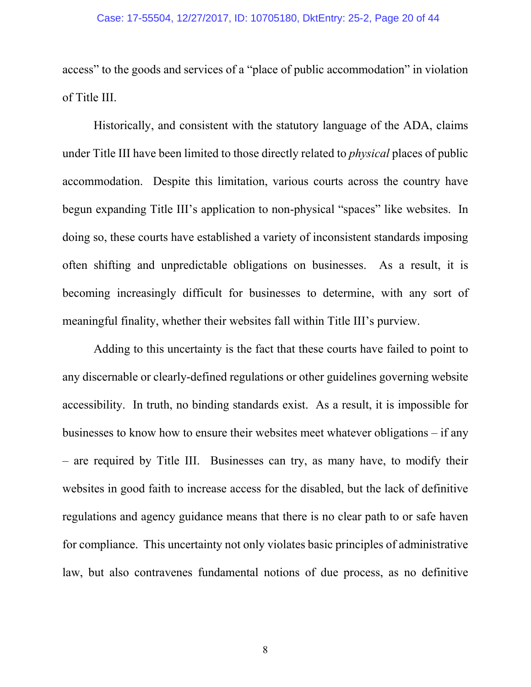access" to the goods and services of a "place of public accommodation" in violation of Title III.

Historically, and consistent with the statutory language of the ADA, claims under Title III have been limited to those directly related to *physical* places of public accommodation. Despite this limitation, various courts across the country have begun expanding Title III's application to non-physical "spaces" like websites. In doing so, these courts have established a variety of inconsistent standards imposing often shifting and unpredictable obligations on businesses. As a result, it is becoming increasingly difficult for businesses to determine, with any sort of meaningful finality, whether their websites fall within Title III's purview.

Adding to this uncertainty is the fact that these courts have failed to point to any discernable or clearly-defined regulations or other guidelines governing website accessibility. In truth, no binding standards exist. As a result, it is impossible for businesses to know how to ensure their websites meet whatever obligations – if any – are required by Title III. Businesses can try, as many have, to modify their websites in good faith to increase access for the disabled, but the lack of definitive regulations and agency guidance means that there is no clear path to or safe haven for compliance. This uncertainty not only violates basic principles of administrative law, but also contravenes fundamental notions of due process, as no definitive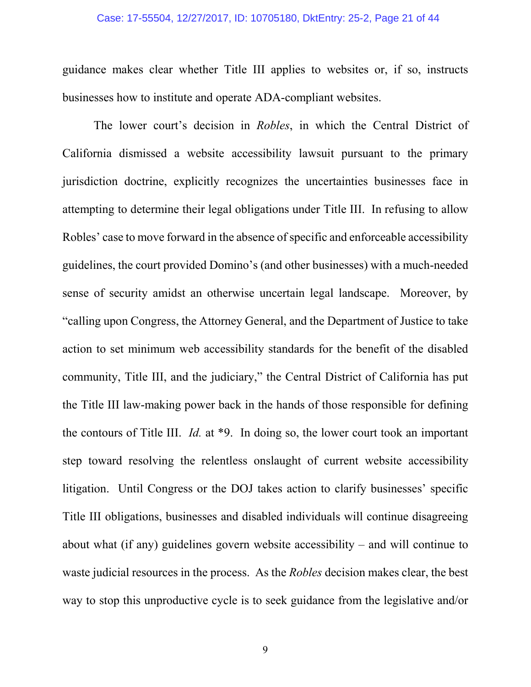#### Case: 17-55504, 12/27/2017, ID: 10705180, DktEntry: 25-2, Page 21 of 44

guidance makes clear whether Title III applies to websites or, if so, instructs businesses how to institute and operate ADA-compliant websites.

<span id="page-20-0"></span>The lower court's decision in *Robles*, in which the Central District of California dismissed a website accessibility lawsuit pursuant to the primary jurisdiction doctrine, explicitly recognizes the uncertainties businesses face in attempting to determine their legal obligations under Title III. In refusing to allow Robles' case to move forward in the absence of specific and enforceable accessibility guidelines, the court provided Domino's (and other businesses) with a much-needed sense of security amidst an otherwise uncertain legal landscape. Moreover, by "calling upon Congress, the Attorney General, and the Department of Justice to take action to set minimum web accessibility standards for the benefit of the disabled community, Title III, and the judiciary," the Central District of California has put the Title III law-making power back in the hands of those responsible for defining the contours of Title III. *Id.* at \*9. In doing so, the lower court took an important step toward resolving the relentless onslaught of current website accessibility litigation. Until Congress or the DOJ takes action to clarify businesses' specific Title III obligations, businesses and disabled individuals will continue disagreeing about what (if any) guidelines govern website accessibility – and will continue to waste judicial resources in the process. As the *Robles* decision makes clear, the best way to stop this unproductive cycle is to seek guidance from the legislative and/or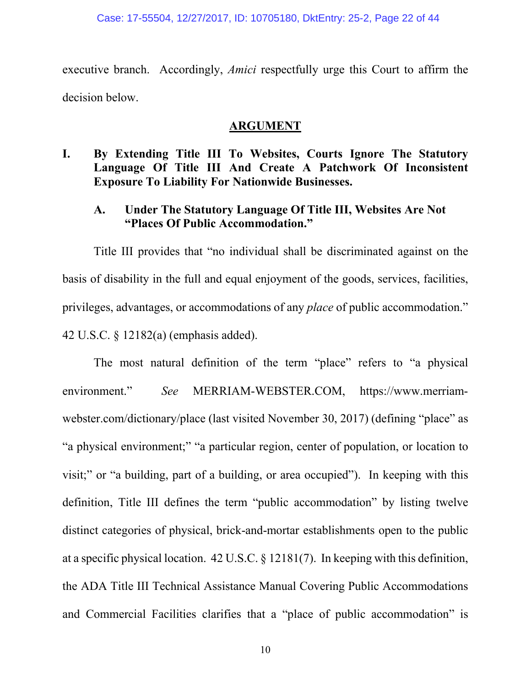executive branch. Accordingly, *Amici* respectfully urge this Court to affirm the decision below.

#### <span id="page-21-2"></span><span id="page-21-1"></span>**ARGUMENT**

### <span id="page-21-0"></span>**I. By Extending Title III To Websites, Courts Ignore The Statutory Language Of Title III And Create A Patchwork Of Inconsistent Exposure To Liability For Nationwide Businesses.**

### **A. Under The Statutory Language Of Title III, Websites Are Not "Places Of Public Accommodation."**

Title III provides that "no individual shall be discriminated against on the basis of disability in the full and equal enjoyment of the goods, services, facilities, privileges, advantages, or accommodations of any *place* of public accommodation." 42 U.S.C. § 12182(a) (emphasis added).

<span id="page-21-5"></span><span id="page-21-4"></span><span id="page-21-3"></span>The most natural definition of the term "place" refers to "a physical environment." *See* MERRIAM-WEBSTER.COM, https://www.merriamwebster.com/dictionary/place (last visited November 30, 2017) (defining "place" as "a physical environment;" "a particular region, center of population, or location to visit;" or "a building, part of a building, or area occupied"). In keeping with this definition, Title III defines the term "public accommodation" by listing twelve distinct categories of physical, brick-and-mortar establishments open to the public at a specific physical location. 42 U.S.C. § 12181(7). In keeping with this definition, the ADA Title III Technical Assistance Manual Covering Public Accommodations and Commercial Facilities clarifies that a "place of public accommodation" is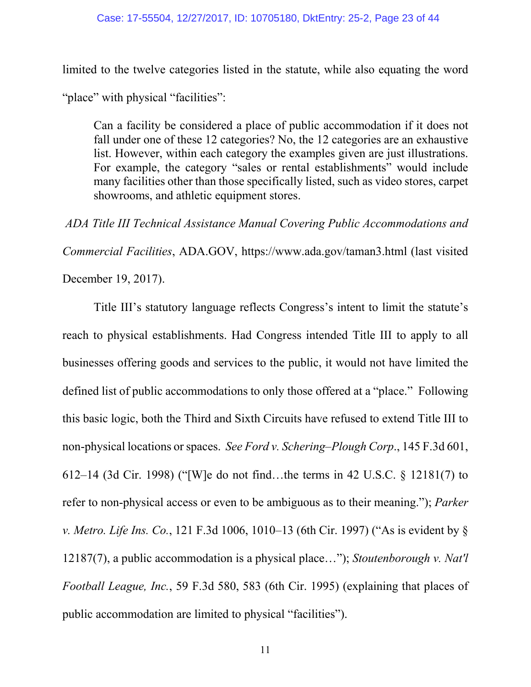limited to the twelve categories listed in the statute, while also equating the word

"place" with physical "facilities":

Can a facility be considered a place of public accommodation if it does not fall under one of these 12 categories? No, the 12 categories are an exhaustive list. However, within each category the examples given are just illustrations. For example, the category "sales or rental establishments" would include many facilities other than those specifically listed, such as video stores, carpet showrooms, and athletic equipment stores.

<span id="page-22-4"></span>*ADA Title III Technical Assistance Manual Covering Public Accommodations and Commercial Facilities*, ADA.GOV, https://www.ada.gov/taman3.html (last visited

December 19, 2017).

<span id="page-22-3"></span><span id="page-22-2"></span><span id="page-22-1"></span><span id="page-22-0"></span>Title III's statutory language reflects Congress's intent to limit the statute's reach to physical establishments. Had Congress intended Title III to apply to all businesses offering goods and services to the public, it would not have limited the defined list of public accommodations to only those offered at a "place." Following this basic logic, both the Third and Sixth Circuits have refused to extend Title III to non-physical locations or spaces. *See Ford v. Schering–Plough Corp*., 145 F.3d 601, 612–14 (3d Cir. 1998) ("[W]e do not find…the terms in 42 U.S.C. § 12181(7) to refer to non-physical access or even to be ambiguous as to their meaning."); *Parker v. Metro. Life Ins. Co.*, 121 F.3d 1006, 1010–13 (6th Cir. 1997) ("As is evident by § 12187(7), a public accommodation is a physical place…"); *Stoutenborough v. Nat'l Football League, Inc.*, 59 F.3d 580, 583 (6th Cir. 1995) (explaining that places of public accommodation are limited to physical "facilities").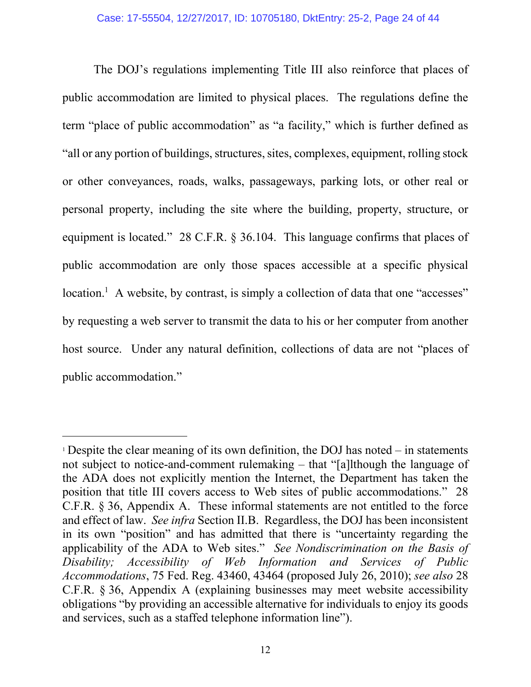<span id="page-23-1"></span>The DOJ's regulations implementing Title III also reinforce that places of public accommodation are limited to physical places. The regulations define the term "place of public accommodation" as "a facility," which is further defined as "all or any portion of buildings, structures, sites, complexes, equipment, rolling stock or other conveyances, roads, walks, passageways, parking lots, or other real or personal property, including the site where the building, property, structure, or equipment is located." 28 C.F.R. § 36.104. This language confirms that places of public accommodation are only those spaces accessible at a specific physical location.<sup>1</sup> A website, by contrast, is simply a collection of data that one "accesses" by requesting a web server to transmit the data to his or her computer from another host source. Under any natural definition, collections of data are not "places of public accommodation."

<span id="page-23-0"></span> $\overline{a}$ 

<sup>&</sup>lt;sup>1</sup> Despite the clear meaning of its own definition, the DOJ has noted  $-$  in statements not subject to notice-and-comment rulemaking – that "[a]lthough the language of the ADA does not explicitly mention the Internet, the Department has taken the position that title III covers access to Web sites of public accommodations." 28 C.F.R. § 36, Appendix A. These informal statements are not entitled to the force and effect of law. *See infra* Section II.B. Regardless, the DOJ has been inconsistent in its own "position" and has admitted that there is "uncertainty regarding the applicability of the ADA to Web sites." *See Nondiscrimination on the Basis of Disability; Accessibility of Web Information and Services of Public Accommodations*, 75 Fed. Reg. 43460, 43464 (proposed July 26, 2010); *see also* 28 C.F.R. § 36, Appendix A (explaining businesses may meet website accessibility obligations "by providing an accessible alternative for individuals to enjoy its goods and services, such as a staffed telephone information line").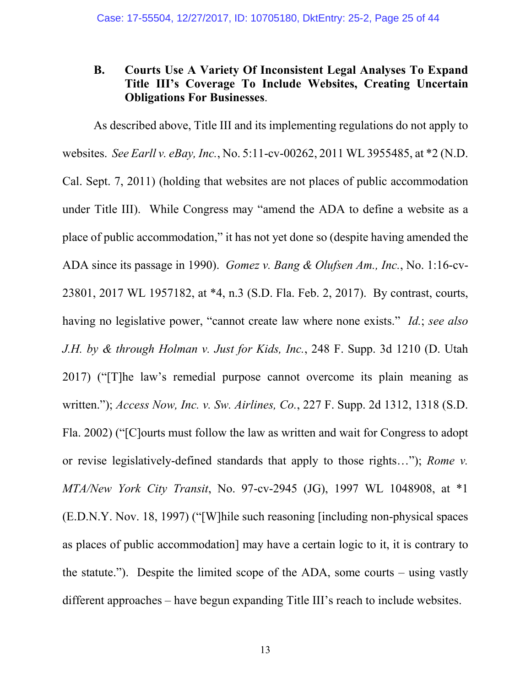### <span id="page-24-0"></span>**B. Courts Use A Variety Of Inconsistent Legal Analyses To Expand Title III's Coverage To Include Websites, Creating Uncertain Obligations For Businesses**.

<span id="page-24-5"></span><span id="page-24-4"></span><span id="page-24-3"></span><span id="page-24-2"></span><span id="page-24-1"></span>As described above, Title III and its implementing regulations do not apply to websites. *See Earll v. eBay, Inc.*, No. 5:11-cv-00262, 2011 WL 3955485, at \*2 (N.D. Cal. Sept. 7, 2011) (holding that websites are not places of public accommodation under Title III).While Congress may "amend the ADA to define a website as a place of public accommodation," it has not yet done so (despite having amended the ADA since its passage in 1990). *Gomez v. Bang & Olufsen Am., Inc.*, No. 1:16-cv-23801, 2017 WL 1957182, at \*4, n.3 (S.D. Fla. Feb. 2, 2017). By contrast, courts, having no legislative power, "cannot create law where none exists." *Id.*; *see also J.H. by & through Holman v. Just for Kids, Inc.*, 248 F. Supp. 3d 1210 (D. Utah 2017) ("[T]he law's remedial purpose cannot overcome its plain meaning as written."); *Access Now, Inc. v. Sw. Airlines, Co.*, 227 F. Supp. 2d 1312, 1318 (S.D. Fla. 2002) ("[C]ourts must follow the law as written and wait for Congress to adopt or revise legislatively-defined standards that apply to those rights…"); *Rome v. MTA/New York City Transit*, No. 97-cv-2945 (JG), 1997 WL 1048908, at \*1 (E.D.N.Y. Nov. 18, 1997) ("[W]hile such reasoning [including non-physical spaces as places of public accommodation] may have a certain logic to it, it is contrary to the statute."). Despite the limited scope of the ADA, some courts – using vastly different approaches – have begun expanding Title III's reach to include websites.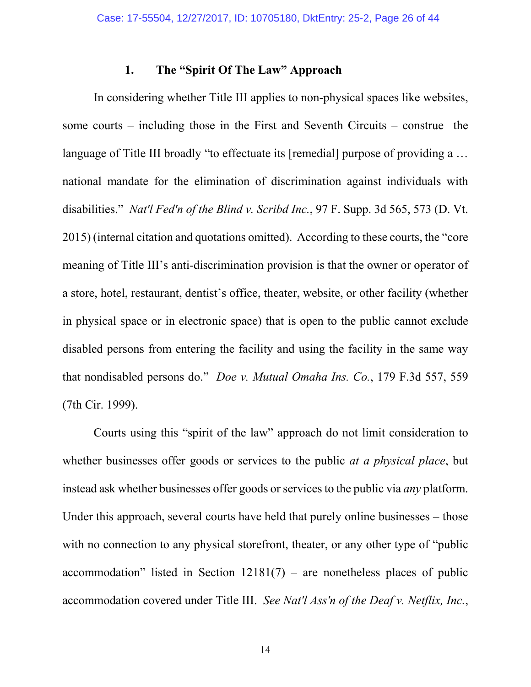#### <span id="page-25-0"></span>**1. The "Spirit Of The Law" Approach**

<span id="page-25-3"></span>In considering whether Title III applies to non-physical spaces like websites, some courts – including those in the First and Seventh Circuits – construe the language of Title III broadly "to effectuate its [remedial] purpose of providing a ... national mandate for the elimination of discrimination against individuals with disabilities." *Nat'l Fed'n of the Blind v. Scribd Inc.*, 97 F. Supp. 3d 565, 573 (D. Vt. 2015) (internal citation and quotations omitted). According to these courts, the "core meaning of Title III's anti-discrimination provision is that the owner or operator of a store, hotel, restaurant, dentist's office, theater, website, or other facility (whether in physical space or in electronic space) that is open to the public cannot exclude disabled persons from entering the facility and using the facility in the same way that nondisabled persons do." *Doe v. Mutual Omaha Ins. Co.*, 179 F.3d 557, 559 (7th Cir. 1999).

<span id="page-25-4"></span><span id="page-25-2"></span><span id="page-25-1"></span>Courts using this "spirit of the law" approach do not limit consideration to whether businesses offer goods or services to the public *at a physical place*, but instead ask whether businesses offer goods or services to the public via *any* platform. Under this approach, several courts have held that purely online businesses – those with no connection to any physical storefront, theater, or any other type of "public" accommodation" listed in Section  $12181(7)$  – are nonetheless places of public accommodation covered under Title III. *See Nat'l Ass'n of the Deaf v. Netflix, Inc.*,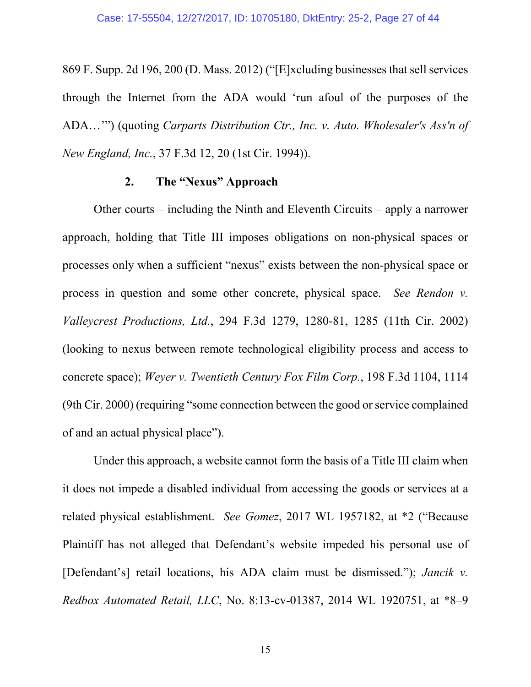869 F. Supp. 2d 196, 200 (D. Mass. 2012) ("[E]xcluding businesses that sell services through the Internet from the ADA would 'run afoul of the purposes of the ADA…'") (quoting *Carparts Distribution Ctr., Inc. v. Auto. Wholesaler's Ass'n of New England, Inc.*, 37 F.3d 12, 20 (1st Cir. 1994)).

#### <span id="page-26-4"></span><span id="page-26-1"></span><span id="page-26-0"></span>**2. The "Nexus" Approach**

Other courts – including the Ninth and Eleventh Circuits – apply a narrower approach, holding that Title III imposes obligations on non-physical spaces or processes only when a sufficient "nexus" exists between the non-physical space or process in question and some other concrete, physical space. *See Rendon v. Valleycrest Productions, Ltd.*, 294 F.3d 1279, 1280-81, 1285 (11th Cir. 2002) (looking to nexus between remote technological eligibility process and access to concrete space); *Weyer v. Twentieth Century Fox Film Corp.*, 198 F.3d 1104, 1114 (9th Cir. 2000) (requiring "some connection between the good or service complained of and an actual physical place").

<span id="page-26-5"></span><span id="page-26-3"></span><span id="page-26-2"></span>Under this approach, a website cannot form the basis of a Title III claim when it does not impede a disabled individual from accessing the goods or services at a related physical establishment. *See Gomez*, 2017 WL 1957182, at \*2 ("Because Plaintiff has not alleged that Defendant's website impeded his personal use of [Defendant's] retail locations, his ADA claim must be dismissed."); *Jancik v. Redbox Automated Retail, LLC*, No. 8:13-cv-01387, 2014 WL 1920751, at \*8–9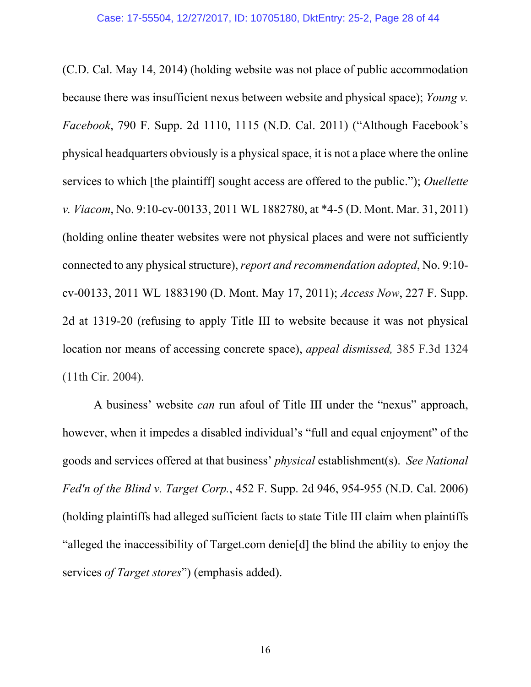<span id="page-27-3"></span><span id="page-27-2"></span>(C.D. Cal. May 14, 2014) (holding website was not place of public accommodation because there was insufficient nexus between website and physical space); *Young v. Facebook*, 790 F. Supp. 2d 1110, 1115 (N.D. Cal. 2011) ("Although Facebook's physical headquarters obviously is a physical space, it is not a place where the online services to which [the plaintiff] sought access are offered to the public."); *Ouellette v. Viacom*, No. 9:10-cv-00133, 2011 WL 1882780, at \*4-5 (D. Mont. Mar. 31, 2011) (holding online theater websites were not physical places and were not sufficiently connected to any physical structure), *report and recommendation adopted*, No. 9:10 cv-00133, 2011 WL 1883190 (D. Mont. May 17, 2011); *Access Now*, 227 F. Supp. 2d at 1319-20 (refusing to apply Title III to website because it was not physical location nor means of accessing concrete space), *appeal dismissed,* 385 F.3d 1324 (11th Cir. 2004).

<span id="page-27-1"></span><span id="page-27-0"></span>A business' website *can* run afoul of Title III under the "nexus" approach, however, when it impedes a disabled individual's "full and equal enjoyment" of the goods and services offered at that business' *physical* establishment(s). *See National Fed'n of the Blind v. Target Corp.*, 452 F. Supp. 2d 946, 954-955 (N.D. Cal. 2006) (holding plaintiffs had alleged sufficient facts to state Title III claim when plaintiffs "alleged the inaccessibility of Target.com denie[d] the blind the ability to enjoy the services *of Target stores*") (emphasis added).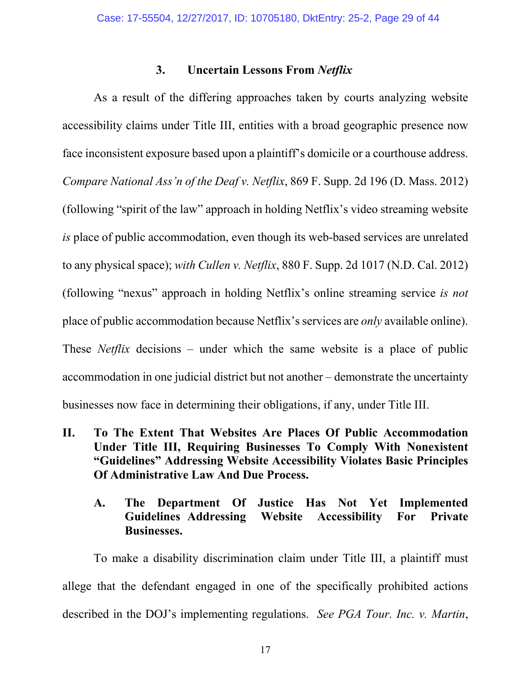#### <span id="page-28-3"></span><span id="page-28-0"></span>**3. Uncertain Lessons From** *Netflix*

<span id="page-28-4"></span>As a result of the differing approaches taken by courts analyzing website accessibility claims under Title III, entities with a broad geographic presence now face inconsistent exposure based upon a plaintiff's domicile or a courthouse address. *Compare National Ass'n of the Deaf v. Netflix*, 869 F. Supp. 2d 196 (D. Mass. 2012) (following "spirit of the law" approach in holding Netflix's video streaming website *is* place of public accommodation, even though its web-based services are unrelated to any physical space); *with Cullen v. Netflix*, 880 F. Supp. 2d 1017 (N.D. Cal. 2012) (following "nexus" approach in holding Netflix's online streaming service *is not* place of public accommodation because Netflix's services are *only* available online). These *Netflix* decisions – under which the same website is a place of public accommodation in one judicial district but not another – demonstrate the uncertainty businesses now face in determining their obligations, if any, under Title III.

**II. To The Extent That Websites Are Places Of Public Accommodation Under Title III, Requiring Businesses To Comply With Nonexistent "Guidelines" Addressing Website Accessibility Violates Basic Principles Of Administrative Law And Due Process.**

### <span id="page-28-5"></span><span id="page-28-2"></span><span id="page-28-1"></span>**A. The Department Of Justice Has Not Yet Implemented Guidelines Addressing Website Accessibility For Private Businesses.**

To make a disability discrimination claim under Title III, a plaintiff must allege that the defendant engaged in one of the specifically prohibited actions described in the DOJ's implementing regulations. *See PGA Tour. Inc. v. Martin*,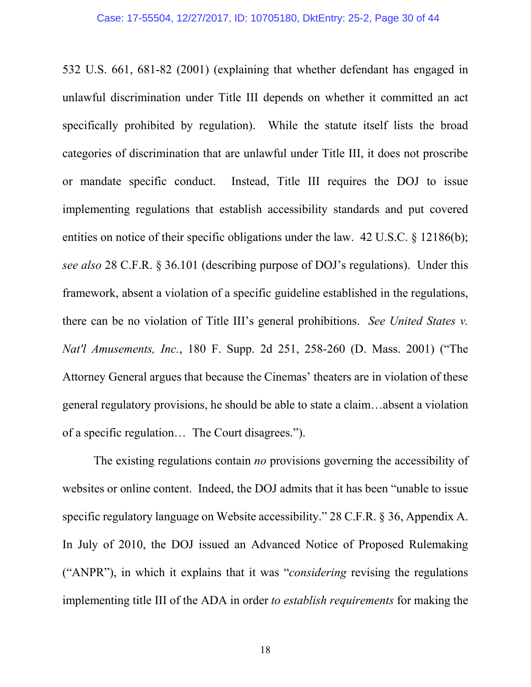<span id="page-29-3"></span><span id="page-29-1"></span>532 U.S. 661, 681-82 (2001) (explaining that whether defendant has engaged in unlawful discrimination under Title III depends on whether it committed an act specifically prohibited by regulation). While the statute itself lists the broad categories of discrimination that are unlawful under Title III, it does not proscribe or mandate specific conduct. Instead, Title III requires the DOJ to issue implementing regulations that establish accessibility standards and put covered entities on notice of their specific obligations under the law. 42 U.S.C. § 12186(b); *see also* 28 C.F.R. § 36.101 (describing purpose of DOJ's regulations). Under this framework, absent a violation of a specific guideline established in the regulations, there can be no violation of Title III's general prohibitions. *See United States v. Nat'l Amusements, Inc.*, 180 F. Supp. 2d 251, 258-260 (D. Mass. 2001) ("The Attorney General argues that because the Cinemas' theaters are in violation of these general regulatory provisions, he should be able to state a claim…absent a violation of a specific regulation… The Court disagrees.").

<span id="page-29-2"></span><span id="page-29-0"></span>The existing regulations contain *no* provisions governing the accessibility of websites or online content. Indeed, the DOJ admits that it has been "unable to issue specific regulatory language on Website accessibility." 28 C.F.R. § 36, Appendix A. In July of 2010, the DOJ issued an Advanced Notice of Proposed Rulemaking ("ANPR"), in which it explains that it was "*considering* revising the regulations implementing title III of the ADA in order *to establish requirements* for making the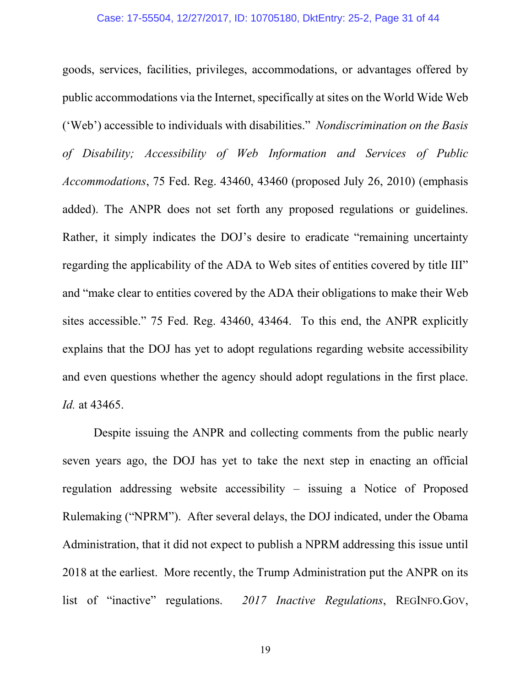<span id="page-30-0"></span>goods, services, facilities, privileges, accommodations, or advantages offered by public accommodations via the Internet, specifically at sites on the World Wide Web ('Web') accessible to individuals with disabilities." *Nondiscrimination on the Basis of Disability; Accessibility of Web Information and Services of Public Accommodations*, 75 Fed. Reg. 43460, 43460 (proposed July 26, 2010) (emphasis added). The ANPR does not set forth any proposed regulations or guidelines. Rather, it simply indicates the DOJ's desire to eradicate "remaining uncertainty regarding the applicability of the ADA to Web sites of entities covered by title III" and "make clear to entities covered by the ADA their obligations to make their Web sites accessible." 75 Fed. Reg. 43460, 43464. To this end, the ANPR explicitly explains that the DOJ has yet to adopt regulations regarding website accessibility and even questions whether the agency should adopt regulations in the first place. *Id.* at 43465.

Despite issuing the ANPR and collecting comments from the public nearly seven years ago, the DOJ has yet to take the next step in enacting an official regulation addressing website accessibility – issuing a Notice of Proposed Rulemaking ("NPRM"). After several delays, the DOJ indicated, under the Obama Administration, that it did not expect to publish a NPRM addressing this issue until 2018 at the earliest. More recently, the Trump Administration put the ANPR on its list of "inactive" regulations. *2017 Inactive Regulations*, REGINFO.GOV,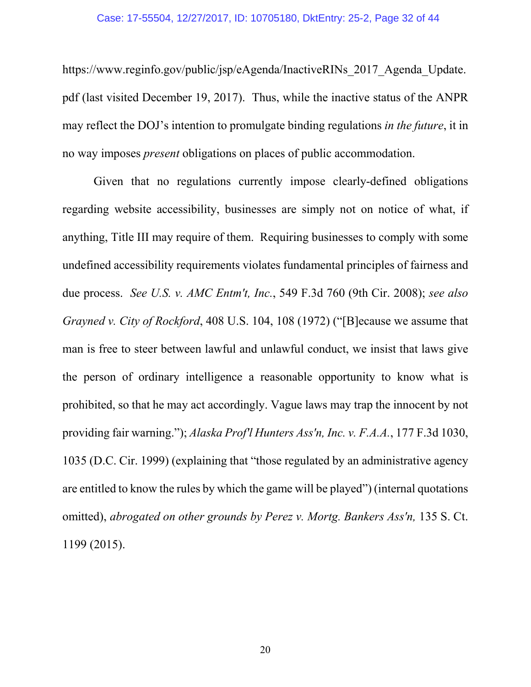#### Case: 17-55504, 12/27/2017, ID: 10705180, DktEntry: 25-2, Page 32 of 44

https://www.reginfo.gov/public/jsp/eAgenda/InactiveRINs 2017 Agenda Update. pdf (last visited December 19, 2017). Thus, while the inactive status of the ANPR may reflect the DOJ's intention to promulgate binding regulations *in the future*, it in no way imposes *present* obligations on places of public accommodation.

<span id="page-31-2"></span><span id="page-31-1"></span><span id="page-31-0"></span>Given that no regulations currently impose clearly-defined obligations regarding website accessibility, businesses are simply not on notice of what, if anything, Title III may require of them. Requiring businesses to comply with some undefined accessibility requirements violates fundamental principles of fairness and due process. *See U.S. v. AMC Entm't, Inc.*, 549 F.3d 760 (9th Cir. 2008); *see also Grayned v. City of Rockford*, 408 U.S. 104, 108 (1972) ("[B]ecause we assume that man is free to steer between lawful and unlawful conduct, we insist that laws give the person of ordinary intelligence a reasonable opportunity to know what is prohibited, so that he may act accordingly. Vague laws may trap the innocent by not providing fair warning."); *Alaska Prof'l Hunters Ass'n, Inc. v. F.A.A.*, 177 F.3d 1030, 1035 (D.C. Cir. 1999) (explaining that "those regulated by an administrative agency are entitled to know the rules by which the game will be played") (internal quotations omitted), *abrogated on other grounds by Perez v. Mortg. Bankers Ass'n,* 135 S. Ct. 1199 (2015).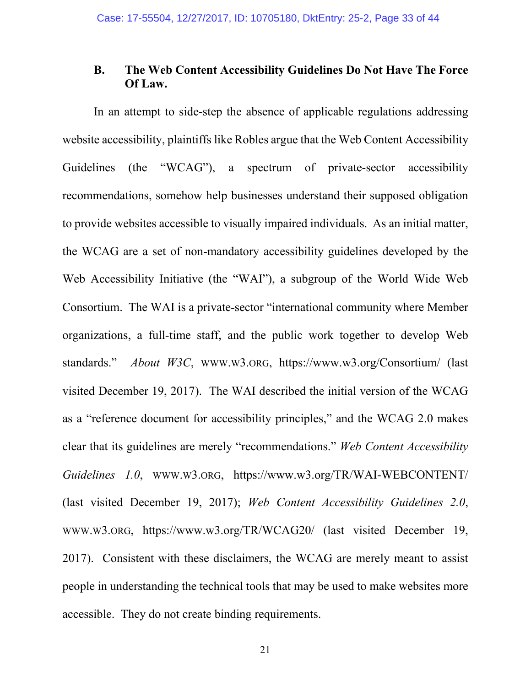### **B. The Web Content Accessibility Guidelines Do Not Have The Force Of Law.**

<span id="page-32-2"></span><span id="page-32-1"></span><span id="page-32-0"></span>In an attempt to side-step the absence of applicable regulations addressing website accessibility, plaintiffs like Robles argue that the Web Content Accessibility Guidelines (the "WCAG"), a spectrum of private-sector accessibility recommendations, somehow help businesses understand their supposed obligation to provide websites accessible to visually impaired individuals. As an initial matter, the WCAG are a set of non-mandatory accessibility guidelines developed by the Web Accessibility Initiative (the "WAI"), a subgroup of the World Wide Web Consortium. The WAI is a private-sector "international community where Member organizations, a full-time staff, and the public work together to develop Web standards." *About W3C*, WWW.W3.ORG, https://www.w3.org/Consortium/ (last visited December 19, 2017). The WAI described the initial version of the WCAG as a "reference document for accessibility principles," and the WCAG 2.0 makes clear that its guidelines are merely "recommendations." *Web Content Accessibility Guidelines 1.0*, WWW.W3.ORG, https://www.w3.org/TR/WAI-WEBCONTENT/ (last visited December 19, 2017); *Web Content Accessibility Guidelines 2.0*, WWW.W3.ORG, https://www.w3.org/TR/WCAG20/ (last visited December 19, 2017). Consistent with these disclaimers, the WCAG are merely meant to assist people in understanding the technical tools that may be used to make websites more accessible. They do not create binding requirements.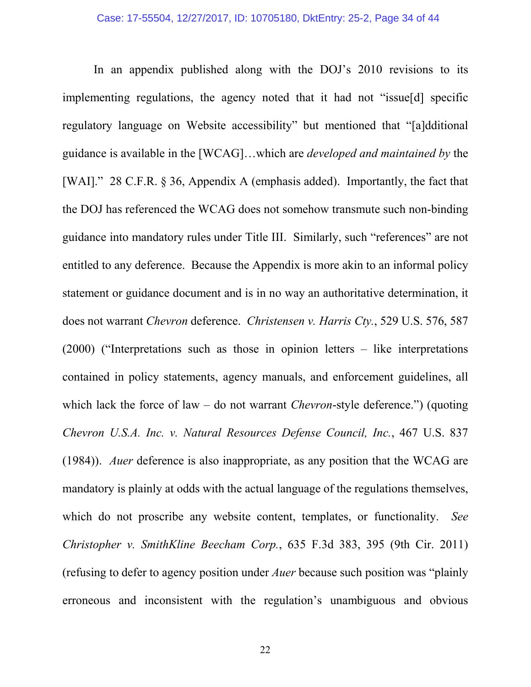<span id="page-33-2"></span><span id="page-33-1"></span><span id="page-33-0"></span>In an appendix published along with the DOJ's 2010 revisions to its implementing regulations, the agency noted that it had not "issue[d] specific regulatory language on Website accessibility" but mentioned that "[a]dditional guidance is available in the [WCAG]…which are *developed and maintained by* the [WAI]." 28 C.F.R. § 36, Appendix A (emphasis added). Importantly, the fact that the DOJ has referenced the WCAG does not somehow transmute such non-binding guidance into mandatory rules under Title III. Similarly, such "references" are not entitled to any deference. Because the Appendix is more akin to an informal policy statement or guidance document and is in no way an authoritative determination, it does not warrant *Chevron* deference. *Christensen v. Harris Cty.*, 529 U.S. 576, 587 (2000) ("Interpretations such as those in opinion letters – like interpretations contained in policy statements, agency manuals, and enforcement guidelines, all which lack the force of law – do not warrant *Chevron*-style deference.") (quoting *Chevron U.S.A. Inc. v. Natural Resources Defense Council, Inc.*, 467 U.S. 837 (1984)). *Auer* deference is also inappropriate, as any position that the WCAG are mandatory is plainly at odds with the actual language of the regulations themselves, which do not proscribe any website content, templates, or functionality. *See Christopher v. SmithKline Beecham Corp.*, 635 F.3d 383, 395 (9th Cir. 2011) (refusing to defer to agency position under *Auer* because such position was "plainly erroneous and inconsistent with the regulation's unambiguous and obvious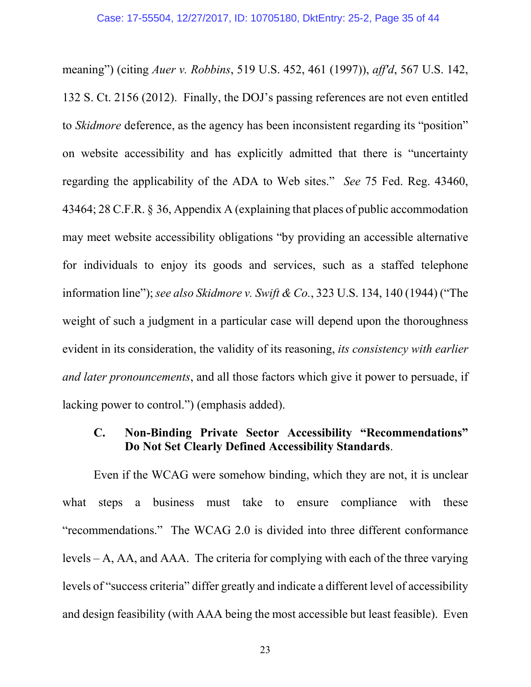<span id="page-34-2"></span>meaning") (citing *Auer v. Robbins*, 519 U.S. 452, 461 (1997)), *aff'd*, 567 U.S. 142, 132 S. Ct. 2156 (2012). Finally, the DOJ's passing references are not even entitled to *Skidmore* deference, as the agency has been inconsistent regarding its "position" on website accessibility and has explicitly admitted that there is "uncertainty regarding the applicability of the ADA to Web sites." *See* 75 Fed. Reg. 43460, 43464; 28 C.F.R. § 36, Appendix A (explaining that places of public accommodation may meet website accessibility obligations "by providing an accessible alternative for individuals to enjoy its goods and services, such as a staffed telephone information line"); *see also Skidmore v. Swift & Co.*, 323 U.S. 134, 140 (1944) ("The weight of such a judgment in a particular case will depend upon the thoroughness evident in its consideration, the validity of its reasoning, *its consistency with earlier and later pronouncements*, and all those factors which give it power to persuade, if lacking power to control.") (emphasis added).

### <span id="page-34-1"></span><span id="page-34-0"></span>**C. Non-Binding Private Sector Accessibility "Recommendations" Do Not Set Clearly Defined Accessibility Standards**.

Even if the WCAG were somehow binding, which they are not, it is unclear what steps a business must take to ensure compliance with these "recommendations." The WCAG 2.0 is divided into three different conformance levels – A, AA, and AAA. The criteria for complying with each of the three varying levels of "success criteria" differ greatly and indicate a different level of accessibility and design feasibility (with AAA being the most accessible but least feasible). Even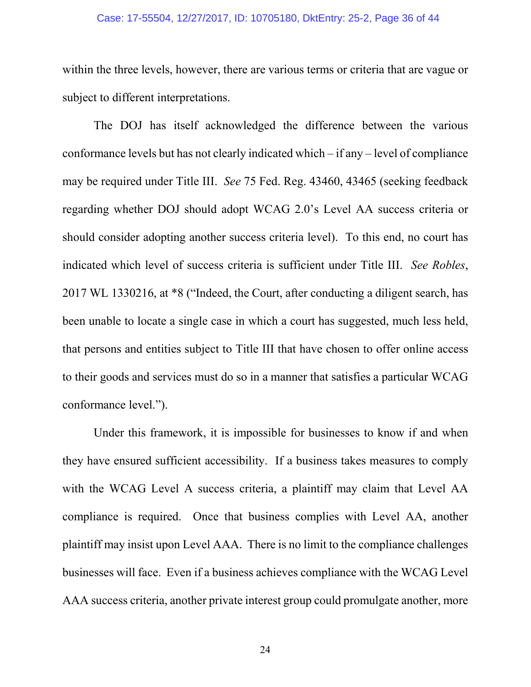#### Case: 17-55504, 12/27/2017, ID: 10705180, DktEntry: 25-2, Page 36 of 44

within the three levels, however, there are various terms or criteria that are vague or subject to different interpretations.

<span id="page-35-0"></span>The DOJ has itself acknowledged the difference between the various conformance levels but has not clearly indicated which – if any – level of compliance may be required under Title III. *See* 75 Fed. Reg. 43460, 43465 (seeking feedback regarding whether DOJ should adopt WCAG 2.0's Level AA success criteria or should consider adopting another success criteria level). To this end, no court has indicated which level of success criteria is sufficient under Title III. *See Robles*, 2017 WL 1330216, at \*8 ("Indeed, the Court, after conducting a diligent search, has been unable to locate a single case in which a court has suggested, much less held, that persons and entities subject to Title III that have chosen to offer online access to their goods and services must do so in a manner that satisfies a particular WCAG conformance level.").

Under this framework, it is impossible for businesses to know if and when they have ensured sufficient accessibility. If a business takes measures to comply with the WCAG Level A success criteria, a plaintiff may claim that Level AA compliance is required. Once that business complies with Level AA, another plaintiff may insist upon Level AAA. There is no limit to the compliance challenges businesses will face. Even if a business achieves compliance with the WCAG Level AAA success criteria, another private interest group could promulgate another, more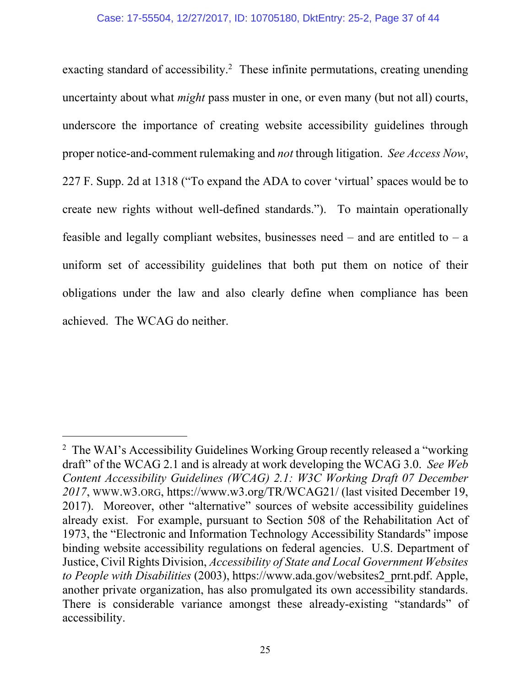<span id="page-36-0"></span>exacting standard of accessibility.<sup>2</sup> These infinite permutations, creating unending uncertainty about what *might* pass muster in one, or even many (but not all) courts, underscore the importance of creating website accessibility guidelines through proper notice-and-comment rulemaking and *not* through litigation. *See Access Now*, 227 F. Supp. 2d at 1318 ("To expand the ADA to cover 'virtual' spaces would be to create new rights without well-defined standards."). To maintain operationally feasible and legally compliant websites, businesses need – and are entitled to – a uniform set of accessibility guidelines that both put them on notice of their obligations under the law and also clearly define when compliance has been achieved. The WCAG do neither.

 $\overline{a}$ 

<span id="page-36-2"></span><span id="page-36-1"></span><sup>&</sup>lt;sup>2</sup> The WAI's Accessibility Guidelines Working Group recently released a "working" draft" of the WCAG 2.1 and is already at work developing the WCAG 3.0. *See Web Content Accessibility Guidelines (WCAG) 2.1: W3C Working Draft 07 December 2017*, WWW.W3.ORG, https://www.w3.org/TR/WCAG21/ (last visited December 19, 2017). Moreover, other "alternative" sources of website accessibility guidelines already exist. For example, pursuant to Section 508 of the Rehabilitation Act of 1973, the "Electronic and Information Technology Accessibility Standards" impose binding website accessibility regulations on federal agencies. U.S. Department of Justice, Civil Rights Division, *Accessibility of State and Local Government Websites to People with Disabilities* (2003), https://www.ada.gov/websites2\_prnt.pdf. Apple, another private organization, has also promulgated its own accessibility standards. There is considerable variance amongst these already-existing "standards" of accessibility.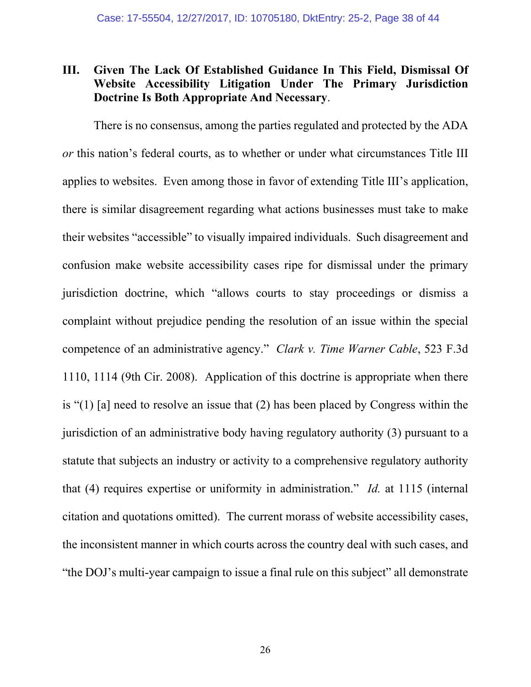### <span id="page-37-0"></span>**III. Given The Lack Of Established Guidance In This Field, Dismissal Of Website Accessibility Litigation Under The Primary Jurisdiction Doctrine Is Both Appropriate And Necessary**.

<span id="page-37-1"></span>There is no consensus, among the parties regulated and protected by the ADA *or* this nation's federal courts, as to whether or under what circumstances Title III applies to websites. Even among those in favor of extending Title III's application, there is similar disagreement regarding what actions businesses must take to make their websites "accessible" to visually impaired individuals. Such disagreement and confusion make website accessibility cases ripe for dismissal under the primary jurisdiction doctrine, which "allows courts to stay proceedings or dismiss a complaint without prejudice pending the resolution of an issue within the special competence of an administrative agency." *Clark v. Time Warner Cable*, 523 F.3d 1110, 1114 (9th Cir. 2008). Application of this doctrine is appropriate when there is "(1) [a] need to resolve an issue that (2) has been placed by Congress within the jurisdiction of an administrative body having regulatory authority (3) pursuant to a statute that subjects an industry or activity to a comprehensive regulatory authority that (4) requires expertise or uniformity in administration." *Id.* at 1115 (internal citation and quotations omitted). The current morass of website accessibility cases, the inconsistent manner in which courts across the country deal with such cases, and "the DOJ's multi-year campaign to issue a final rule on this subject" all demonstrate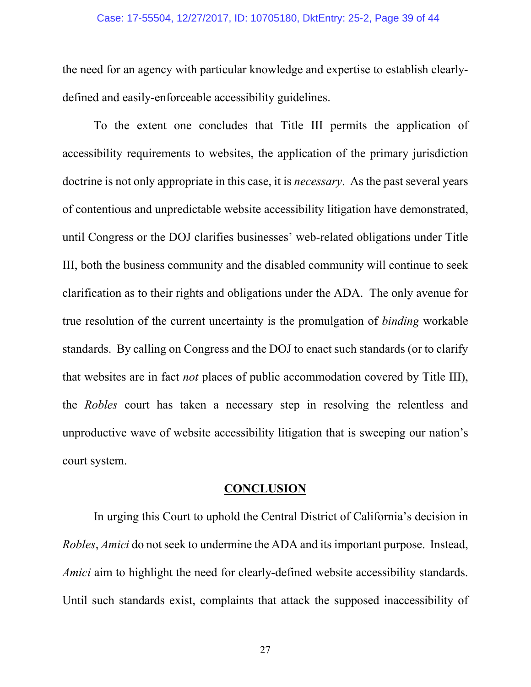#### Case: 17-55504, 12/27/2017, ID: 10705180, DktEntry: 25-2, Page 39 of 44

the need for an agency with particular knowledge and expertise to establish clearlydefined and easily-enforceable accessibility guidelines.

To the extent one concludes that Title III permits the application of accessibility requirements to websites, the application of the primary jurisdiction doctrine is not only appropriate in this case, it is *necessary*. As the past several years of contentious and unpredictable website accessibility litigation have demonstrated, until Congress or the DOJ clarifies businesses' web-related obligations under Title III, both the business community and the disabled community will continue to seek clarification as to their rights and obligations under the ADA. The only avenue for true resolution of the current uncertainty is the promulgation of *binding* workable standards. By calling on Congress and the DOJ to enact such standards (or to clarify that websites are in fact *not* places of public accommodation covered by Title III), the *Robles* court has taken a necessary step in resolving the relentless and unproductive wave of website accessibility litigation that is sweeping our nation's court system.

#### <span id="page-38-0"></span>**CONCLUSION**

In urging this Court to uphold the Central District of California's decision in *Robles*, *Amici* do not seek to undermine the ADA and its important purpose. Instead, *Amici* aim to highlight the need for clearly-defined website accessibility standards. Until such standards exist, complaints that attack the supposed inaccessibility of

27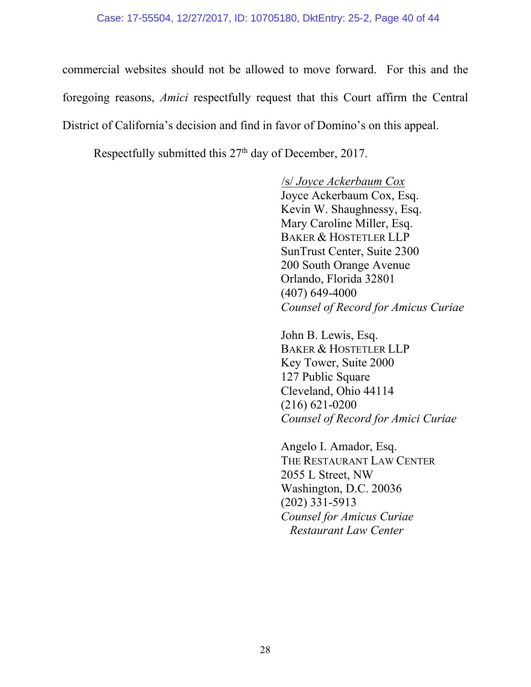commercial websites should not be allowed to move forward. For this and the foregoing reasons, *Amici* respectfully request that this Court affirm the Central District of California's decision and find in favor of Domino's on this appeal.

Respectfully submitted this  $27<sup>th</sup>$  day of December, 2017.

/s/ *Joyce Ackerbaum Cox*  Joyce Ackerbaum Cox, Esq. Kevin W. Shaughnessy, Esq. Mary Caroline Miller, Esq. BAKER & HOSTETLER LLP SunTrust Center, Suite 2300 200 South Orange Avenue Orlando, Florida 32801 (407) 649-4000 *Counsel of Record for Amicus Curiae* 

John B. Lewis, Esq. BAKER & HOSTETLER LLP Key Tower, Suite 2000 127 Public Square Cleveland, Ohio 44114 (216) 621-0200 *Counsel of Record for Amici Curiae*

Angelo I. Amador, Esq. THE RESTAURANT LAW CENTER 2055 L Street, NW Washington, D.C. 20036 (202) 331-5913 *Counsel for Amicus Curiae Restaurant Law Center*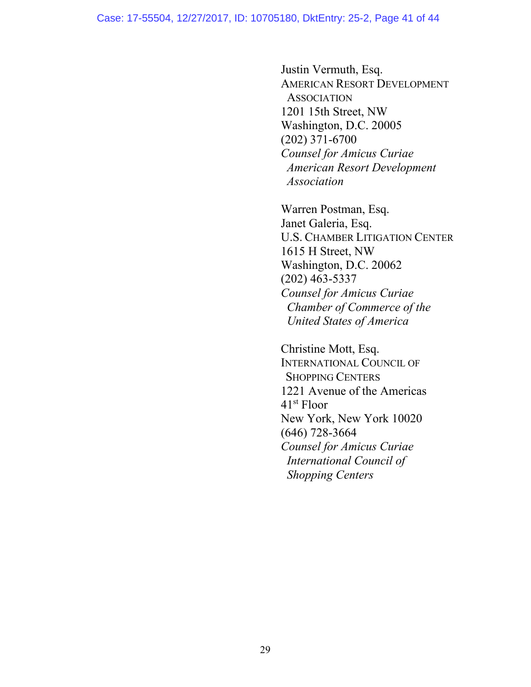Justin Vermuth, Esq. AMERICAN RESORT DEVELOPMENT **ASSOCIATION** 1201 15th Street, NW Washington, D.C. 20005 (202) 371-6700  *Counsel for Amicus Curiae American Resort Development Association*

Warren Postman, Esq. Janet Galeria, Esq. U.S. CHAMBER LITIGATION CENTER 1615 H Street, NW Washington, D.C. 20062 (202) 463-5337 *Counsel for Amicus Curiae Chamber of Commerce of the United States of America*

Christine Mott, Esq. INTERNATIONAL COUNCIL OF SHOPPING CENTERS 1221 Avenue of the Americas 41st Floor New York, New York 10020 (646) 728-3664  *Counsel for Amicus Curiae International Council of Shopping Centers*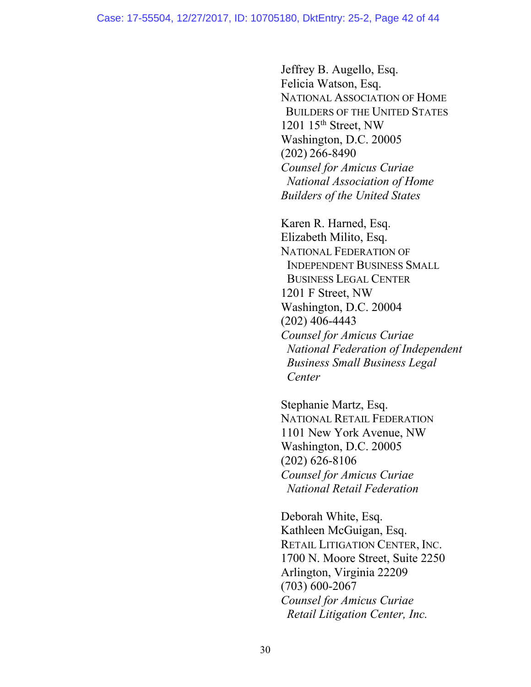Jeffrey B. Augello, Esq. Felicia Watson, Esq. NATIONAL ASSOCIATION OF HOME BUILDERS OF THE UNITED STATES 1201  $15<sup>th</sup>$  Street, NW Washington, D.C. 20005 (202) 266-8490 *Counsel for Amicus Curiae National Association of Home Builders of the United States*

Karen R. Harned, Esq. Elizabeth Milito, Esq. NATIONAL FEDERATION OF INDEPENDENT BUSINESS SMALL BUSINESS LEGAL CENTER 1201 F Street, NW Washington, D.C. 20004 (202) 406-4443 *Counsel for Amicus Curiae National Federation of Independent Business Small Business Legal Center*

Stephanie Martz, Esq. NATIONAL RETAIL FEDERATION 1101 New York Avenue, NW Washington, D.C. 20005 (202) 626-8106 *Counsel for Amicus Curiae National Retail Federation* 

Deborah White, Esq. Kathleen McGuigan, Esq. RETAIL LITIGATION CENTER, INC. 1700 N. Moore Street, Suite 2250 Arlington, Virginia 22209 (703) 600-2067 *Counsel for Amicus Curiae Retail Litigation Center, Inc.*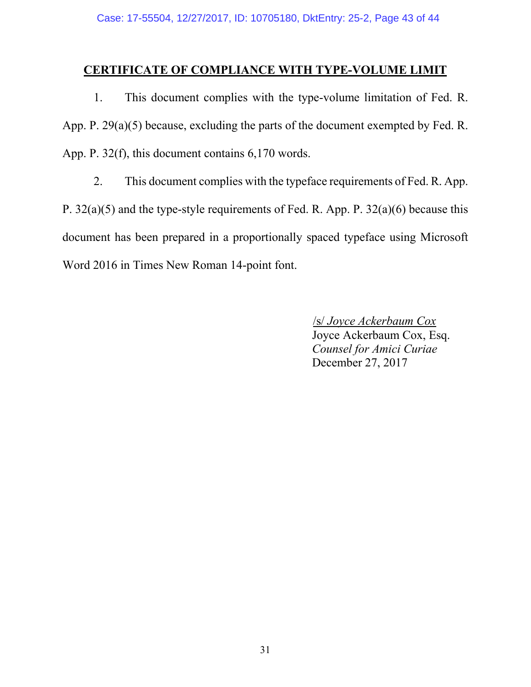### **CERTIFICATE OF COMPLIANCE WITH TYPE-VOLUME LIMIT**

1. This document complies with the type-volume limitation of Fed. R. App. P. 29(a)(5) because, excluding the parts of the document exempted by Fed. R. App. P. 32(f), this document contains 6,170 words.

2. This document complies with the typeface requirements of Fed. R. App. P. 32(a)(5) and the type-style requirements of Fed. R. App. P. 32(a)(6) because this document has been prepared in a proportionally spaced typeface using Microsoft Word 2016 in Times New Roman 14-point font.

> <span id="page-42-0"></span>/s/ *Joyce Ackerbaum Cox*  Joyce Ackerbaum Cox, Esq. *Counsel for Amici Curiae* December 27, 2017